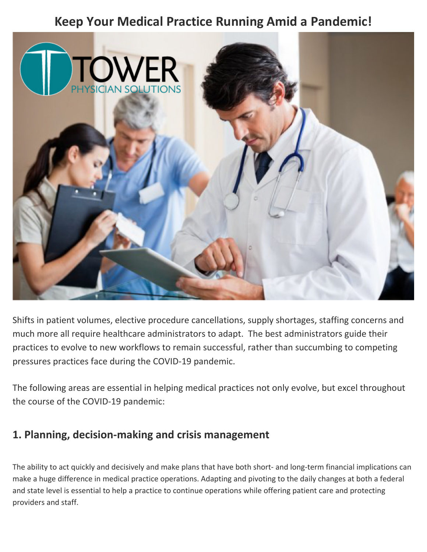# **Keep Your Medical Practice Running Amid a Pandemic!**



Shifts in patient volumes, elective procedure cancellations, supply shortages, staffing concerns and much more all require healthcare administrators to adapt. The best administrators guide their practices to evolve to new workflows to remain successful, rather than succumbing to competing pressures practices face during the COVID-19 pandemic.

The following areas are essential in helping medical practices not only evolve, but excel throughout the course of the COVID-19 pandemic:

### **1. Planning, decision-making and crisis management**

The ability to act quickly and decisively and make plans that have both short- and long-term financial implications can make a huge difference in medical practice operations. Adapting and pivoting to the daily changes at both a federal and state level is essential to help a practice to continue operations while offering patient care and protecting providers and staff.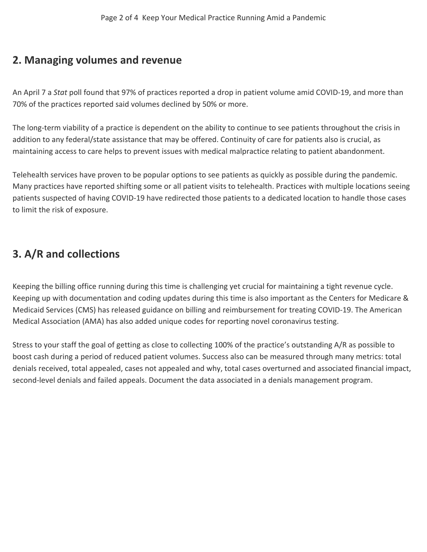#### **2. Managing volumes and revenue**

An April 7 a *Stat* poll found that 97% of practices reported a drop in patient volume amid COVID-19, and more than 70% of the practices reported said volumes declined by 50% or more.

The long-term viability of a practice is dependent on the ability to continue to see patients throughout the crisis in addition to any federal/state assistance that may be offered. Continuity of care for patients also is crucial, as maintaining access to care helps to prevent issues with medical malpractice relating to patient abandonment.

Telehealth services have proven to be popular options to see patients as quickly as possible during the pandemic. Many practices have reported shifting some or all patient visits to telehealth. Practices with multiple locations seeing patients suspected of having COVID-19 have redirected those patients to a dedicated location to handle those cases to limit the risk of exposure.

## **3. A/R and collections**

Keeping the billing office running during this time is challenging yet crucial for maintaining a tight revenue cycle. Keeping up with documentation and coding updates during this time is also important as the Centers for Medicare & Medicaid Services (CMS) has released guidance on billing and reimbursement for treating COVID-19. The American Medical Association (AMA) has also added unique codes for reporting novel coronavirus testing.

Stress to your staff the goal of getting as close to collecting 100% of the practice's outstanding A/R as possible to boost cash during a period of reduced patient volumes. Success also can be measured through many metrics: total denials received, total appealed, cases not appealed and why, total cases overturned and associated financial impact, second-level denials and failed appeals. Document the data associated in a denials management program.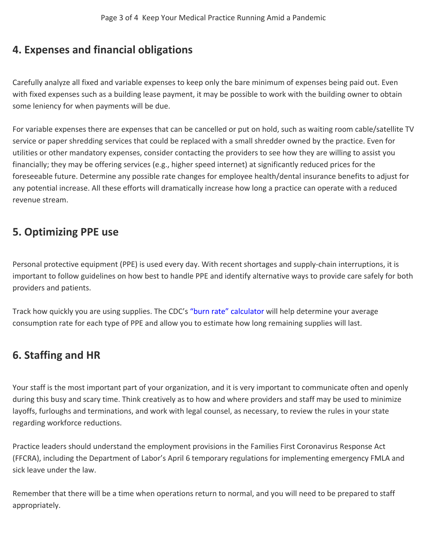#### **4. Expenses and financial obligations**

Carefully analyze all fixed and variable expenses to keep only the bare minimum of expenses being paid out. Even with fixed expenses such as a building lease payment, it may be possible to work with the building owner to obtain some leniency for when payments will be due.

For variable expenses there are expenses that can be cancelled or put on hold, such as waiting room cable/satellite TV service or paper shredding services that could be replaced with a small shredder owned by the practice. Even for utilities or other mandatory expenses, consider contacting the providers to see how they are willing to assist you financially; they may be offering services (e.g., higher speed internet) at significantly reduced prices for the foreseeable future. Determine any possible rate changes for employee health/dental insurance benefits to adjust for any potential increase. All these efforts will dramatically increase how long a practice can operate with a reduced revenue stream.

## **5. Optimizing PPE use**

Personal protective equipment (PPE) is used every day. With recent shortages and supply-chain interruptions, it is important to follow guidelines on how best to handle PPE and identify alternative ways to provide care safely for both providers and patients.

Track how quickly you are using supplies. The CDC's ["burn rate" calculator](https://www.cdc.gov/coronavirus/2019-ncov/hcp/ppe-strategy/burn-calculator.html) will help determine your average consumption rate for each type of PPE and allow you to estimate how long remaining supplies will last.

### **6. Staffing and HR**

Your staff is the most important part of your organization, and it is very important to communicate often and openly during this busy and scary time. Think creatively as to how and where providers and staff may be used to minimize layoffs, furloughs and terminations, and work with legal counsel, as necessary, to review the rules in your state regarding workforce reductions.

Practice leaders should understand the employment provisions in the Families First Coronavirus Response Act (FFCRA), including the Department of Labor's April 6 temporary regulations for implementing emergency FMLA and sick leave under the law.

Remember that there will be a time when operations return to normal, and you will need to be prepared to staff appropriately.